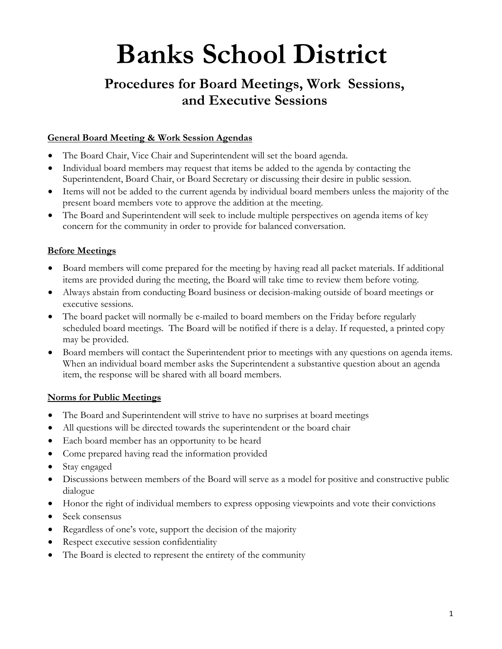# **Banks School District**

# **Procedures for Board Meetings, Work Sessions, and Executive Sessions**

# **General Board Meeting & Work Session Agendas**

- The Board Chair, Vice Chair and Superintendent will set the board agenda.
- Individual board members may request that items be added to the agenda by contacting the Superintendent, Board Chair, or Board Secretary or discussing their desire in public session.
- Items will not be added to the current agenda by individual board members unless the majority of the present board members vote to approve the addition at the meeting.
- The Board and Superintendent will seek to include multiple perspectives on agenda items of key concern for the community in order to provide for balanced conversation.

## **Before Meetings**

- Board members will come prepared for the meeting by having read all packet materials. If additional items are provided during the meeting, the Board will take time to review them before voting.
- Always abstain from conducting Board business or decision-making outside of board meetings or executive sessions.
- The board packet will normally be e-mailed to board members on the Friday before regularly scheduled board meetings. The Board will be notified if there is a delay. If requested, a printed copy may be provided.
- Board members will contact the Superintendent prior to meetings with any questions on agenda items. When an individual board member asks the Superintendent a substantive question about an agenda item, the response will be shared with all board members.

# **Norms for Public Meetings**

- The Board and Superintendent will strive to have no surprises at board meetings
- All questions will be directed towards the superintendent or the board chair
- Each board member has an opportunity to be heard
- Come prepared having read the information provided
- Stay engaged
- Discussions between members of the Board will serve as a model for positive and constructive public dialogue
- Honor the right of individual members to express opposing viewpoints and vote their convictions
- Seek consensus
- Regardless of one's vote, support the decision of the majority
- Respect executive session confidentiality
- The Board is elected to represent the entirety of the community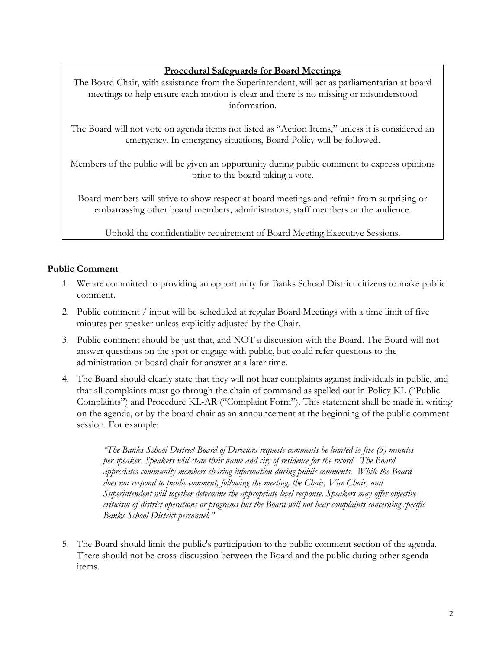#### **Procedural Safeguards for Board Meetings**

The Board Chair, with assistance from the Superintendent, will act as parliamentarian at board meetings to help ensure each motion is clear and there is no missing or misunderstood information.

The Board will not vote on agenda items not listed as "Action Items," unless it is considered an emergency. In emergency situations, Board Policy will be followed.

Members of the public will be given an opportunity during public comment to express opinions prior to the board taking a vote.

Board members will strive to show respect at board meetings and refrain from surprising or embarrassing other board members, administrators, staff members or the audience.

Uphold the confidentiality requirement of Board Meeting Executive Sessions.

### **Public Comment**

- 1. We are committed to providing an opportunity for Banks School District citizens to make public comment.
- 2. Public comment / input will be scheduled at regular Board Meetings with a time limit of five minutes per speaker unless explicitly adjusted by the Chair.
- 3. Public comment should be just that, and NOT a discussion with the Board. The Board will not answer questions on the spot or engage with public, but could refer questions to the administration or board chair for answer at a later time.
- 4. The Board should clearly state that they will not hear complaints against individuals in public, and that all complaints must go through the chain of command as spelled out in Policy KL ("Public Complaints") and Procedure KL-AR ("Complaint Form"). This statement shall be made in writing on the agenda, or by the board chair as an announcement at the beginning of the public comment session. For example:

*"The Banks School District Board of Directors requests comments be limited to five (5) minutes per speaker. Speakers will state their name and city of residence for the record. The Board appreciates community members sharing information during public comments. While the Board does not respond to public comment, following the meeting, the Chair, Vice Chair, and Superintendent will together determine the appropriate level response. Speakers may offer objective criticism of district operations or programs but the Board will not hear complaints concerning specific Banks School District personnel."* 

5. The Board should limit the public's participation to the public comment section of the agenda. There should not be cross-discussion between the Board and the public during other agenda items.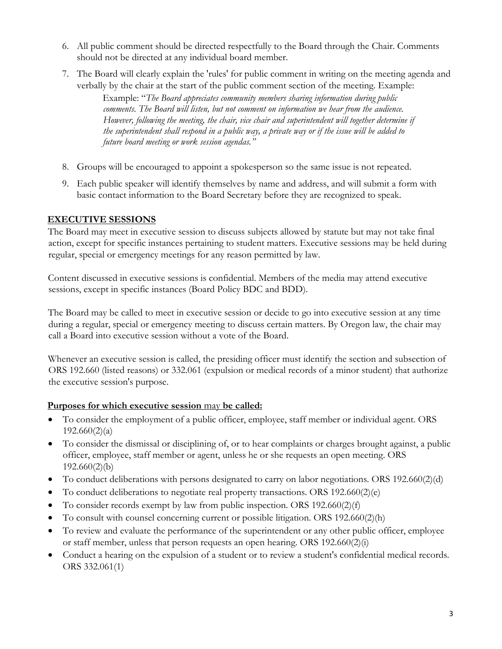- 6. All public comment should be directed respectfully to the Board through the Chair. Comments should not be directed at any individual board member.
- 7. The Board will clearly explain the 'rules' for public comment in writing on the meeting agenda and verbally by the chair at the start of the public comment section of the meeting. Example:

Example: "*The Board appreciates community members sharing information during public comments. The Board will listen, but not comment on information we hear from the audience. However, following the meeting, the chair, vice chair and superintendent will together determine if the superintendent shall respond in a public way, a private way or if the issue will be added to future board meeting or work session agendas."* 

- 8. Groups will be encouraged to appoint a spokesperson so the same issue is not repeated.
- 9. Each public speaker will identify themselves by name and address, and will submit a form with basic contact information to the Board Secretary before they are recognized to speak.

#### **EXECUTIVE SESSIONS**

The Board may meet in executive session to discuss subjects allowed by statute but may not take final action, except for specific instances pertaining to student matters. Executive sessions may be held during regular, special or emergency meetings for any reason permitted by law.

Content discussed in executive sessions is confidential. Members of the media may attend executive sessions, except in specific instances (Board Policy BDC and BDD).

The Board may be called to meet in executive session or decide to go into executive session at any time during a regular, special or emergency meeting to discuss certain matters. By Oregon law, the chair may call a Board into executive session without a vote of the Board.

Whenever an executive session is called, the presiding officer must identify the section and subsection of ORS 192.660 (listed reasons) or 332.061 (expulsion or medical records of a minor student) that authorize the executive session's purpose.

#### **Purposes for which executive session** may **be called:**

- To consider the employment of a public officer, employee, staff member or individual agent. ORS  $192.660(2)(a)$
- To consider the dismissal or disciplining of, or to hear complaints or charges brought against, a public officer, employee, staff member or agent, unless he or she requests an open meeting. ORS 192.660(2)(b)
- To conduct deliberations with persons designated to carry on labor negotiations. ORS 192.660(2)(d)
- To conduct deliberations to negotiate real property transactions. ORS 192.660(2)(e)
- To consider records exempt by law from public inspection. ORS 192.660(2)(f)
- To consult with counsel concerning current or possible litigation. ORS 192.660(2)(h)
- To review and evaluate the performance of the superintendent or any other public officer, employee or staff member, unless that person requests an open hearing. ORS 192.660(2)(i)
- Conduct a hearing on the expulsion of a student or to review a student's confidential medical records. ORS 332.061(1)